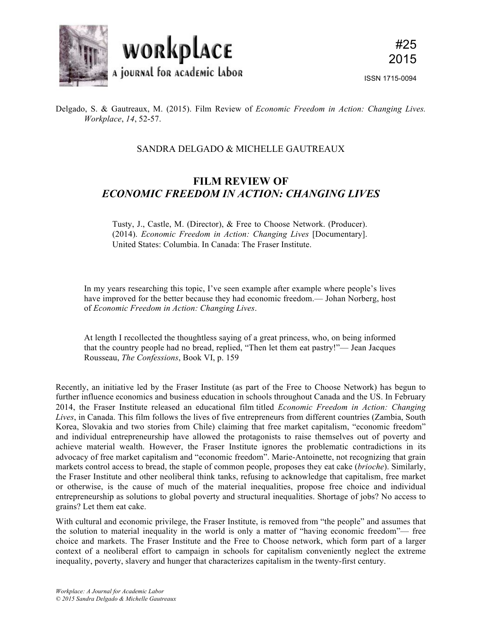

Delgado, S. & Gautreaux, M. (2015). Film Review of *Economic Freedom in Action: Changing Lives. Workplace*, *14*, 52-57.

## SANDRA DELGADO & MICHELLE GAUTREAUX

## **FILM REVIEW OF**  *ECONOMIC FREEDOM IN ACTION: CHANGING LIVES*

Tusty, J., Castle, M. (Director), & Free to Choose Network. (Producer). (2014). *Economic Freedom in Action: Changing Lives* [Documentary]. United States: Columbia. In Canada: The Fraser Institute.

In my years researching this topic, I've seen example after example where people's lives have improved for the better because they had economic freedom.— Johan Norberg, host of *Economic Freedom in Action: Changing Lives*.

At length I recollected the thoughtless saying of a great princess, who, on being informed that the country people had no bread, replied, "Then let them eat pastry!"— Jean Jacques Rousseau, *The Confessions*, Book VI, p. 159

Recently, an initiative led by the Fraser Institute (as part of the Free to Choose Network) has begun to further influence economics and business education in schools throughout Canada and the US. In February 2014, the Fraser Institute released an educational film titled *Economic Freedom in Action: Changing Lives*, in Canada. This film follows the lives of five entrepreneurs from different countries (Zambia, South Korea, Slovakia and two stories from Chile) claiming that free market capitalism, "economic freedom" and individual entrepreneurship have allowed the protagonists to raise themselves out of poverty and achieve material wealth. However, the Fraser Institute ignores the problematic contradictions in its advocacy of free market capitalism and "economic freedom". Marie-Antoinette, not recognizing that grain markets control access to bread, the staple of common people, proposes they eat cake (*brioche*). Similarly, the Fraser Institute and other neoliberal think tanks, refusing to acknowledge that capitalism, free market or otherwise, is the cause of much of the material inequalities, propose free choice and individual entrepreneurship as solutions to global poverty and structural inequalities. Shortage of jobs? No access to grains? Let them eat cake.

With cultural and economic privilege, the Fraser Institute, is removed from "the people" and assumes that the solution to material inequality in the world is only a matter of "having economic freedom"— free choice and markets. The Fraser Institute and the Free to Choose network, which form part of a larger context of a neoliberal effort to campaign in schools for capitalism conveniently neglect the extreme inequality, poverty, slavery and hunger that characterizes capitalism in the twenty-first century.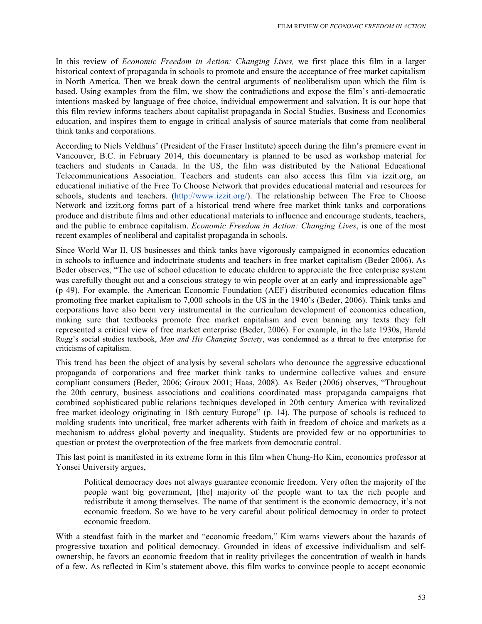In this review of *Economic Freedom in Action: Changing Lives,* we first place this film in a larger historical context of propaganda in schools to promote and ensure the acceptance of free market capitalism in North America. Then we break down the central arguments of neoliberalism upon which the film is based. Using examples from the film, we show the contradictions and expose the film's anti-democratic intentions masked by language of free choice, individual empowerment and salvation. It is our hope that this film review informs teachers about capitalist propaganda in Social Studies, Business and Economics education, and inspires them to engage in critical analysis of source materials that come from neoliberal think tanks and corporations.

According to Niels Veldhuis' (President of the Fraser Institute) speech during the film's premiere event in Vancouver, B.C. in February 2014, this documentary is planned to be used as workshop material for teachers and students in Canada. In the US, the film was distributed by the National Educational Telecommunications Association. Teachers and students can also access this film via izzit.org, an educational initiative of the Free To Choose Network that provides educational material and resources for schools, students and teachers. (http://www.izzit.org/). The relationship between The Free to Choose Network and izzit.org forms part of a historical trend where free market think tanks and corporations produce and distribute films and other educational materials to influence and encourage students, teachers, and the public to embrace capitalism. *Economic Freedom in Action: Changing Lives*, is one of the most recent examples of neoliberal and capitalist propaganda in schools.

Since World War II, US businesses and think tanks have vigorously campaigned in economics education in schools to influence and indoctrinate students and teachers in free market capitalism (Beder 2006). As Beder observes, "The use of school education to educate children to appreciate the free enterprise system was carefully thought out and a conscious strategy to win people over at an early and impressionable age" (p 49). For example, the American Economic Foundation (AEF) distributed economics education films promoting free market capitalism to 7,000 schools in the US in the 1940's (Beder, 2006). Think tanks and corporations have also been very instrumental in the curriculum development of economics education, making sure that textbooks promote free market capitalism and even banning any texts they felt represented a critical view of free market enterprise (Beder, 2006). For example, in the late 1930s, Harold Rugg's social studies textbook, *Man and His Changing Society*, was condemned as a threat to free enterprise for criticisms of capitalism.

This trend has been the object of analysis by several scholars who denounce the aggressive educational propaganda of corporations and free market think tanks to undermine collective values and ensure compliant consumers (Beder, 2006; Giroux 2001; Haas, 2008). As Beder (2006) observes, "Throughout the 20th century, business associations and coalitions coordinated mass propaganda campaigns that combined sophisticated public relations techniques developed in 20th century America with revitalized free market ideology originating in 18th century Europe" (p. 14). The purpose of schools is reduced to molding students into uncritical, free market adherents with faith in freedom of choice and markets as a mechanism to address global poverty and inequality. Students are provided few or no opportunities to question or protest the overprotection of the free markets from democratic control.

This last point is manifested in its extreme form in this film when Chung-Ho Kim, economics professor at Yonsei University argues,

Political democracy does not always guarantee economic freedom. Very often the majority of the people want big government, [the] majority of the people want to tax the rich people and redistribute it among themselves. The name of that sentiment is the economic democracy, it's not economic freedom. So we have to be very careful about political democracy in order to protect economic freedom.

With a steadfast faith in the market and "economic freedom," Kim warns viewers about the hazards of progressive taxation and political democracy. Grounded in ideas of excessive individualism and selfownership, he favors an economic freedom that in reality privileges the concentration of wealth in hands of a few. As reflected in Kim's statement above, this film works to convince people to accept economic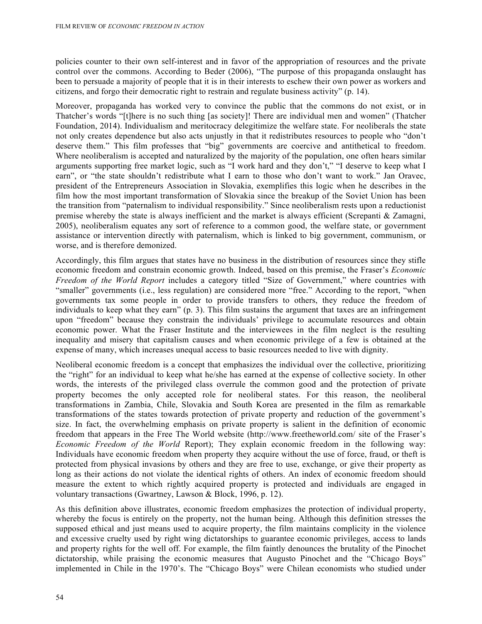policies counter to their own self-interest and in favor of the appropriation of resources and the private control over the commons. According to Beder (2006), "The purpose of this propaganda onslaught has been to persuade a majority of people that it is in their interests to eschew their own power as workers and citizens, and forgo their democratic right to restrain and regulate business activity" (p. 14).

Moreover, propaganda has worked very to convince the public that the commons do not exist, or in Thatcher's words "[t]here is no such thing [as society]! There are individual men and women" (Thatcher Foundation, 2014). Individualism and meritocracy delegitimize the welfare state. For neoliberals the state not only creates dependence but also acts unjustly in that it redistributes resources to people who "don't deserve them." This film professes that "big" governments are coercive and antithetical to freedom. Where neoliberalism is accepted and naturalized by the majority of the population, one often hears similar arguments supporting free market logic, such as "I work hard and they don't," "I deserve to keep what I earn", or "the state shouldn't redistribute what I earn to those who don't want to work." Jan Oravec, president of the Entrepreneurs Association in Slovakia, exemplifies this logic when he describes in the film how the most important transformation of Slovakia since the breakup of the Soviet Union has been the transition from "paternalism to individual responsibility." Since neoliberalism rests upon a reductionist premise whereby the state is always inefficient and the market is always efficient (Screpanti & Zamagni, 2005), neoliberalism equates any sort of reference to a common good, the welfare state, or government assistance or intervention directly with paternalism, which is linked to big government, communism, or worse, and is therefore demonized.

Accordingly, this film argues that states have no business in the distribution of resources since they stifle economic freedom and constrain economic growth. Indeed, based on this premise, the Fraser's *Economic Freedom of the World Report* includes a category titled "Size of Government," where countries with "smaller" governments (i.e., less regulation) are considered more "free." According to the report, "when governments tax some people in order to provide transfers to others, they reduce the freedom of individuals to keep what they earn" (p. 3). This film sustains the argument that taxes are an infringement upon "freedom" because they constrain the individuals' privilege to accumulate resources and obtain economic power. What the Fraser Institute and the interviewees in the film neglect is the resulting inequality and misery that capitalism causes and when economic privilege of a few is obtained at the expense of many, which increases unequal access to basic resources needed to live with dignity.

Neoliberal economic freedom is a concept that emphasizes the individual over the collective, prioritizing the "right" for an individual to keep what he/she has earned at the expense of collective society. In other words, the interests of the privileged class overrule the common good and the protection of private property becomes the only accepted role for neoliberal states. For this reason, the neoliberal transformations in Zambia, Chile, Slovakia and South Korea are presented in the film as remarkable transformations of the states towards protection of private property and reduction of the government's size. In fact, the overwhelming emphasis on private property is salient in the definition of economic freedom that appears in the Free The World website (http://www.freetheworld.com/ site of the Fraser's *Economic Freedom of the World* Report); They explain economic freedom in the following way: Individuals have economic freedom when property they acquire without the use of force, fraud, or theft is protected from physical invasions by others and they are free to use, exchange, or give their property as long as their actions do not violate the identical rights of others. An index of economic freedom should measure the extent to which rightly acquired property is protected and individuals are engaged in voluntary transactions (Gwartney, Lawson & Block, 1996, p. 12).

As this definition above illustrates, economic freedom emphasizes the protection of individual property, whereby the focus is entirely on the property, not the human being. Although this definition stresses the supposed ethical and just means used to acquire property, the film maintains complicity in the violence and excessive cruelty used by right wing dictatorships to guarantee economic privileges, access to lands and property rights for the well off. For example, the film faintly denounces the brutality of the Pinochet dictatorship, while praising the economic measures that Augusto Pinochet and the "Chicago Boys" implemented in Chile in the 1970's. The "Chicago Boys" were Chilean economists who studied under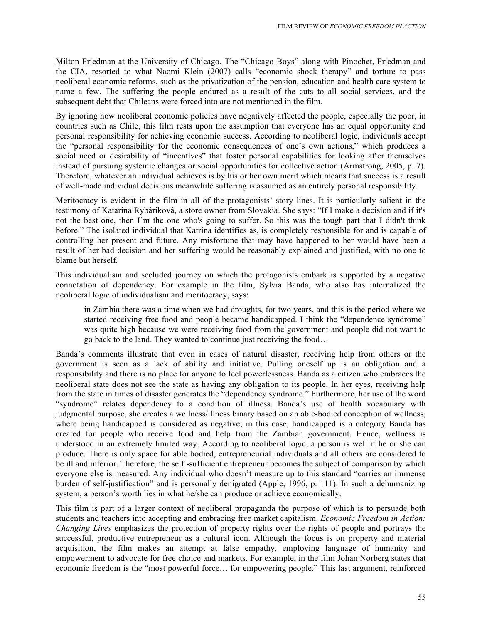Milton Friedman at the University of Chicago. The "Chicago Boys" along with Pinochet, Friedman and the CIA, resorted to what Naomi Klein (2007) calls "economic shock therapy" and torture to pass neoliberal economic reforms, such as the privatization of the pension, education and health care system to name a few. The suffering the people endured as a result of the cuts to all social services, and the subsequent debt that Chileans were forced into are not mentioned in the film.

By ignoring how neoliberal economic policies have negatively affected the people, especially the poor, in countries such as Chile, this film rests upon the assumption that everyone has an equal opportunity and personal responsibility for achieving economic success. According to neoliberal logic, individuals accept the "personal responsibility for the economic consequences of one's own actions," which produces a social need or desirability of "incentives" that foster personal capabilities for looking after themselves instead of pursuing systemic changes or social opportunities for collective action (Armstrong, 2005, p. 7). Therefore, whatever an individual achieves is by his or her own merit which means that success is a result of well-made individual decisions meanwhile suffering is assumed as an entirely personal responsibility.

Meritocracy is evident in the film in all of the protagonists' story lines. It is particularly salient in the testimony of Katarina Rybáriková, a store owner from Slovakia. She says: "If I make a decision and if it's not the best one, then I'm the one who's going to suffer. So this was the tough part that I didn't think before." The isolated individual that Katrina identifies as, is completely responsible for and is capable of controlling her present and future. Any misfortune that may have happened to her would have been a result of her bad decision and her suffering would be reasonably explained and justified, with no one to blame but herself.

This individualism and secluded journey on which the protagonists embark is supported by a negative connotation of dependency. For example in the film, Sylvia Banda, who also has internalized the neoliberal logic of individualism and meritocracy, says:

in Zambia there was a time when we had droughts, for two years, and this is the period where we started receiving free food and people became handicapped. I think the "dependence syndrome" was quite high because we were receiving food from the government and people did not want to go back to the land. They wanted to continue just receiving the food…

Banda's comments illustrate that even in cases of natural disaster, receiving help from others or the government is seen as a lack of ability and initiative. Pulling oneself up is an obligation and a responsibility and there is no place for anyone to feel powerlessness. Banda as a citizen who embraces the neoliberal state does not see the state as having any obligation to its people. In her eyes, receiving help from the state in times of disaster generates the "dependency syndrome." Furthermore, her use of the word "syndrome" relates dependency to a condition of illness. Banda's use of health vocabulary with judgmental purpose, she creates a wellness/illness binary based on an able-bodied conception of wellness, where being handicapped is considered as negative; in this case, handicapped is a category Banda has created for people who receive food and help from the Zambian government. Hence, wellness is understood in an extremely limited way. According to neoliberal logic, a person is well if he or she can produce. There is only space for able bodied, entrepreneurial individuals and all others are considered to be ill and inferior. Therefore, the self -sufficient entrepreneur becomes the subject of comparison by which everyone else is measured. Any individual who doesn't measure up to this standard "carries an immense burden of self-justification" and is personally denigrated (Apple, 1996, p. 111). In such a dehumanizing system, a person's worth lies in what he/she can produce or achieve economically.

This film is part of a larger context of neoliberal propaganda the purpose of which is to persuade both students and teachers into accepting and embracing free market capitalism. *Economic Freedom in Action: Changing Lives* emphasizes the protection of property rights over the rights of people and portrays the successful, productive entrepreneur as a cultural icon. Although the focus is on property and material acquisition, the film makes an attempt at false empathy, employing language of humanity and empowerment to advocate for free choice and markets. For example, in the film Johan Norberg states that economic freedom is the "most powerful force… for empowering people." This last argument, reinforced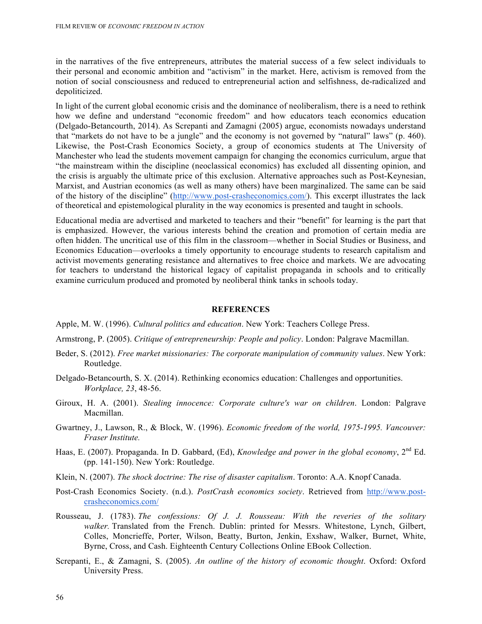in the narratives of the five entrepreneurs, attributes the material success of a few select individuals to their personal and economic ambition and "activism" in the market. Here, activism is removed from the notion of social consciousness and reduced to entrepreneurial action and selfishness, de-radicalized and depoliticized.

In light of the current global economic crisis and the dominance of neoliberalism, there is a need to rethink how we define and understand "economic freedom" and how educators teach economics education (Delgado-Betancourth, 2014). As Screpanti and Zamagni (2005) argue, economists nowadays understand that "markets do not have to be a jungle" and the economy is not governed by "natural" laws" (p. 460). Likewise, the Post-Crash Economics Society, a group of economics students at The University of Manchester who lead the students movement campaign for changing the economics curriculum, argue that "the mainstream within the discipline (neoclassical economics) has excluded all dissenting opinion, and the crisis is arguably the ultimate price of this exclusion. Alternative approaches such as Post-Keynesian, Marxist, and Austrian economics (as well as many others) have been marginalized. The same can be said of the history of the discipline" (http://www.post-crasheconomics.com/). This excerpt illustrates the lack of theoretical and epistemological plurality in the way economics is presented and taught in schools.

Educational media are advertised and marketed to teachers and their "benefit" for learning is the part that is emphasized. However, the various interests behind the creation and promotion of certain media are often hidden. The uncritical use of this film in the classroom—whether in Social Studies or Business, and Economics Education—overlooks a timely opportunity to encourage students to research capitalism and activist movements generating resistance and alternatives to free choice and markets. We are advocating for teachers to understand the historical legacy of capitalist propaganda in schools and to critically examine curriculum produced and promoted by neoliberal think tanks in schools today.

## **REFERENCES**

Apple, M. W. (1996). *Cultural politics and education*. New York: Teachers College Press.

Armstrong, P. (2005). *Critique of entrepreneurship: People and policy*. London: Palgrave Macmillan.

- Beder, S. (2012). *Free market missionaries: The corporate manipulation of community values*. New York: Routledge.
- Delgado-Betancourth, S. X. (2014). Rethinking economics education: Challenges and opportunities. *Workplace, 23*, 48-56.
- Giroux, H. A. (2001). *Stealing innocence: Corporate culture's war on children*. London: Palgrave Macmillan.
- Gwartney, J., Lawson, R., & Block, W. (1996). *Economic freedom of the world, 1975-1995. Vancouver: Fraser Institute.*
- Haas, E. (2007). Propaganda. In D. Gabbard, (Ed), *Knowledge and power in the global economy*, 2<sup>nd</sup> Ed. (pp. 141-150). New York: Routledge.
- Klein, N. (2007). *The shock doctrine: The rise of disaster capitalism*. Toronto: A.A. Knopf Canada.
- Post-Crash Economics Society. (n.d.). *PostCrash economics society*. Retrieved from http://www.postcrasheconomics.com/
- Rousseau, J. (1783). *The confessions: Of J. J. Rousseau: With the reveries of the solitary walker.* Translated from the French. Dublin: printed for Messrs. Whitestone, Lynch, Gilbert, Colles, Moncrieffe, Porter, Wilson, Beatty, Burton, Jenkin, Exshaw, Walker, Burnet, White, Byrne, Cross, and Cash. Eighteenth Century Collections Online EBook Collection.
- Screpanti, E., & Zamagni, S. (2005). *An outline of the history of economic thought*. Oxford: Oxford University Press.